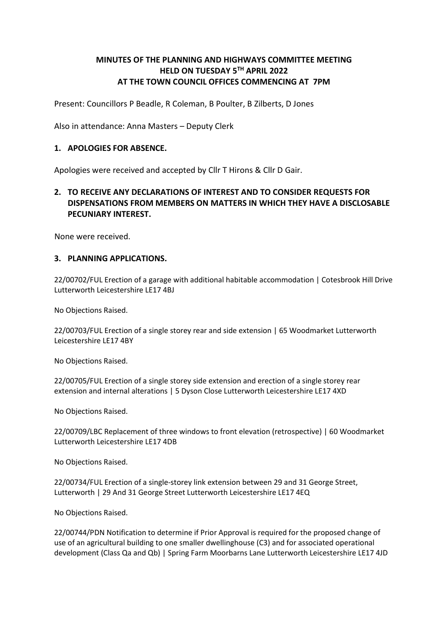# MINUTES OF THE PLANNING AND HIGHWAYS COMMITTEE MEETING HELD ON TUESDAY 5TH APRIL 2022 AT THE TOWN COUNCIL OFFICES COMMENCING AT 7PM

Present: Councillors P Beadle, R Coleman, B Poulter, B Zilberts, D Jones

Also in attendance: Anna Masters – Deputy Clerk

### 1. APOLOGIES FOR ABSENCE.

Apologies were received and accepted by Cllr T Hirons & Cllr D Gair.

## 2. TO RECEIVE ANY DECLARATIONS OF INTEREST AND TO CONSIDER REQUESTS FOR DISPENSATIONS FROM MEMBERS ON MATTERS IN WHICH THEY HAVE A DISCLOSABLE PECUNIARY INTEREST.

None were received.

## 3. PLANNING APPLICATIONS.

22/00702/FUL Erection of a garage with additional habitable accommodation | Cotesbrook Hill Drive Lutterworth Leicestershire LE17 4BJ

No Objections Raised.

22/00703/FUL Erection of a single storey rear and side extension | 65 Woodmarket Lutterworth Leicestershire LE17 4BY

No Objections Raised.

22/00705/FUL Erection of a single storey side extension and erection of a single storey rear extension and internal alterations | 5 Dyson Close Lutterworth Leicestershire LE17 4XD

No Objections Raised.

22/00709/LBC Replacement of three windows to front elevation (retrospective) | 60 Woodmarket Lutterworth Leicestershire LE17 4DB

No Objections Raised.

22/00734/FUL Erection of a single-storey link extension between 29 and 31 George Street, Lutterworth | 29 And 31 George Street Lutterworth Leicestershire LE17 4EQ

No Objections Raised.

22/00744/PDN Notification to determine if Prior Approval is required for the proposed change of use of an agricultural building to one smaller dwellinghouse (C3) and for associated operational development (Class Qa and Qb) | Spring Farm Moorbarns Lane Lutterworth Leicestershire LE17 4JD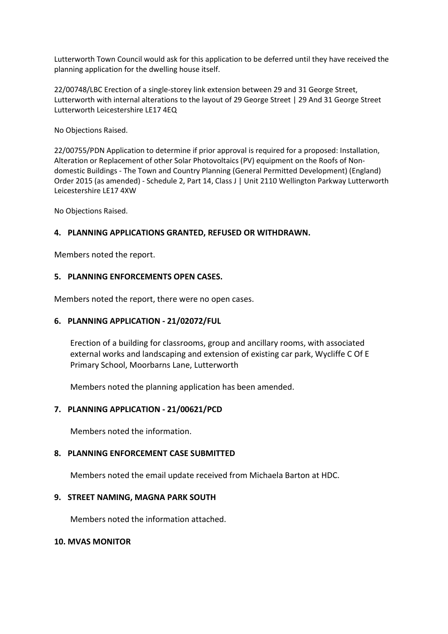Lutterworth Town Council would ask for this application to be deferred until they have received the planning application for the dwelling house itself.

22/00748/LBC Erection of a single-storey link extension between 29 and 31 George Street, Lutterworth with internal alterations to the layout of 29 George Street | 29 And 31 George Street Lutterworth Leicestershire LE17 4EQ

No Objections Raised.

22/00755/PDN Application to determine if prior approval is required for a proposed: Installation, Alteration or Replacement of other Solar Photovoltaics (PV) equipment on the Roofs of Nondomestic Buildings - The Town and Country Planning (General Permitted Development) (England) Order 2015 (as amended) - Schedule 2, Part 14, Class J | Unit 2110 Wellington Parkway Lutterworth Leicestershire LE17 4XW

No Objections Raised.

## 4. PLANNING APPLICATIONS GRANTED, REFUSED OR WITHDRAWN.

Members noted the report.

## 5. PLANNING ENFORCEMENTS OPEN CASES.

Members noted the report, there were no open cases.

### 6. PLANNING APPLICATION - 21/02072/FUL

Erection of a building for classrooms, group and ancillary rooms, with associated external works and landscaping and extension of existing car park, Wycliffe C Of E Primary School, Moorbarns Lane, Lutterworth

Members noted the planning application has been amended.

## 7. PLANNING APPLICATION - 21/00621/PCD

Members noted the information.

## 8. PLANNING ENFORCEMENT CASE SUBMITTED

Members noted the email update received from Michaela Barton at HDC.

#### 9. STREET NAMING, MAGNA PARK SOUTH

Members noted the information attached.

#### 10. MVAS MONITOR